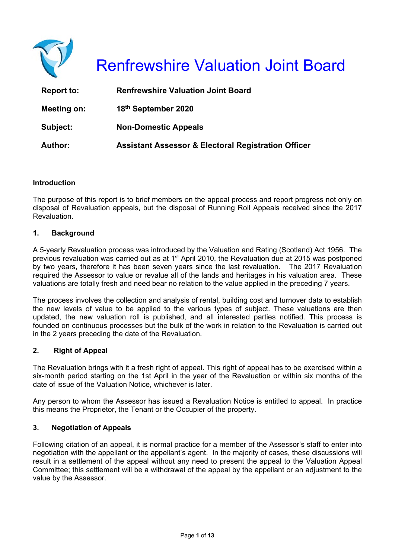

# Renfrewshire Valuation Joint Board

| <b>Report to:</b> | <b>Renfrewshire Valuation Joint Board</b>                      |
|-------------------|----------------------------------------------------------------|
| Meeting on:       | 18th September 2020                                            |
| Subject:          | <b>Non-Domestic Appeals</b>                                    |
| Author:           | <b>Assistant Assessor &amp; Electoral Registration Officer</b> |

#### **Introduction**

The purpose of this report is to brief members on the appeal process and report progress not only on disposal of Revaluation appeals, but the disposal of Running Roll Appeals received since the 2017 **Revaluation** 

#### **1. Background**

A 5-yearly Revaluation process was introduced by the Valuation and Rating (Scotland) Act 1956. The previous revaluation was carried out as at 1st April 2010, the Revaluation due at 2015 was postponed by two years, therefore it has been seven years since the last revaluation. The 2017 Revaluation required the Assessor to value or revalue all of the lands and heritages in his valuation area. These valuations are totally fresh and need bear no relation to the value applied in the preceding 7 years.

The process involves the collection and analysis of rental, building cost and turnover data to establish the new levels of value to be applied to the various types of subject. These valuations are then updated, the new valuation roll is published, and all interested parties notified. This process is founded on continuous processes but the bulk of the work in relation to the Revaluation is carried out in the 2 years preceding the date of the Revaluation.

#### **2. Right of Appeal**

The Revaluation brings with it a fresh right of appeal. This right of appeal has to be exercised within a six-month period starting on the 1st April in the year of the Revaluation or within six months of the date of issue of the Valuation Notice, whichever is later.

Any person to whom the Assessor has issued a Revaluation Notice is entitled to appeal. In practice this means the Proprietor, the Tenant or the Occupier of the property.

#### **3. Negotiation of Appeals**

Following citation of an appeal, it is normal practice for a member of the Assessor's staff to enter into negotiation with the appellant or the appellant's agent. In the majority of cases, these discussions will result in a settlement of the appeal without any need to present the appeal to the Valuation Appeal Committee; this settlement will be a withdrawal of the appeal by the appellant or an adjustment to the value by the Assessor.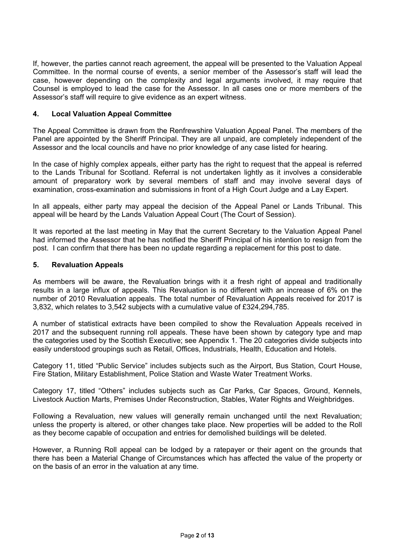If, however, the parties cannot reach agreement, the appeal will be presented to the Valuation Appeal Committee. In the normal course of events, a senior member of the Assessor's staff will lead the case, however depending on the complexity and legal arguments involved, it may require that Counsel is employed to lead the case for the Assessor. In all cases one or more members of the Assessor's staff will require to give evidence as an expert witness.

#### **4. Local Valuation Appeal Committee**

The Appeal Committee is drawn from the Renfrewshire Valuation Appeal Panel. The members of the Panel are appointed by the Sheriff Principal. They are all unpaid, are completely independent of the Assessor and the local councils and have no prior knowledge of any case listed for hearing.

In the case of highly complex appeals, either party has the right to request that the appeal is referred to the Lands Tribunal for Scotland. Referral is not undertaken lightly as it involves a considerable amount of preparatory work by several members of staff and may involve several days of examination, cross-examination and submissions in front of a High Court Judge and a Lay Expert.

In all appeals, either party may appeal the decision of the Appeal Panel or Lands Tribunal. This appeal will be heard by the Lands Valuation Appeal Court (The Court of Session).

It was reported at the last meeting in May that the current Secretary to the Valuation Appeal Panel had informed the Assessor that he has notified the Sheriff Principal of his intention to resign from the post. I can confirm that there has been no update regarding a replacement for this post to date.

#### **5. Revaluation Appeals**

As members will be aware, the Revaluation brings with it a fresh right of appeal and traditionally results in a large influx of appeals. This Revaluation is no different with an increase of 6% on the number of 2010 Revaluation appeals. The total number of Revaluation Appeals received for 2017 is 3,832, which relates to 3,542 subjects with a cumulative value of £324,294,785.

A number of statistical extracts have been compiled to show the Revaluation Appeals received in 2017 and the subsequent running roll appeals. These have been shown by category type and map the categories used by the Scottish Executive; see Appendix 1. The 20 categories divide subjects into easily understood groupings such as Retail, Offices, Industrials, Health, Education and Hotels.

Category 11, titled "Public Service" includes subjects such as the Airport, Bus Station, Court House, Fire Station, Military Establishment, Police Station and Waste Water Treatment Works.

Category 17, titled "Others" includes subjects such as Car Parks, Car Spaces, Ground, Kennels, Livestock Auction Marts, Premises Under Reconstruction, Stables, Water Rights and Weighbridges.

Following a Revaluation, new values will generally remain unchanged until the next Revaluation; unless the property is altered, or other changes take place. New properties will be added to the Roll as they become capable of occupation and entries for demolished buildings will be deleted.

However, a Running Roll appeal can be lodged by a ratepayer or their agent on the grounds that there has been a Material Change of Circumstances which has affected the value of the property or on the basis of an error in the valuation at any time.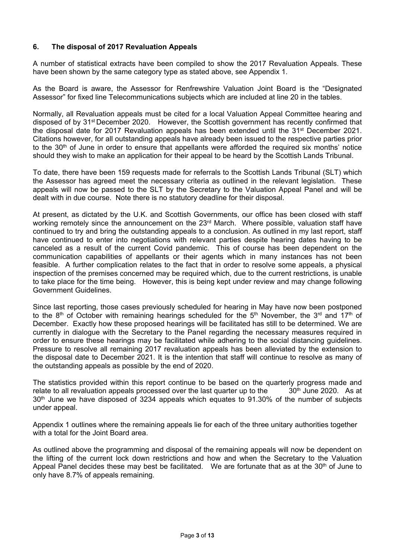#### **6. The disposal of 2017 Revaluation Appeals**

A number of statistical extracts have been compiled to show the 2017 Revaluation Appeals. These have been shown by the same category type as stated above, see Appendix 1.

As the Board is aware, the Assessor for Renfrewshire Valuation Joint Board is the "Designated Assessor" for fixed line Telecommunications subjects which are included at line 20 in the tables.

Normally, all Revaluation appeals must be cited for a local Valuation Appeal Committee hearing and disposed of by 31st December 2020. However, the Scottish government has recently confirmed that the disposal date for 2017 Revaluation appeals has been extended until the  $31<sup>st</sup>$  December 2021. Citations however, for all outstanding appeals have already been issued to the respective parties prior to the 30<sup>th</sup> of June in order to ensure that appellants were afforded the required six months' notice should they wish to make an application for their appeal to be heard by the Scottish Lands Tribunal.

To date, there have been 159 requests made for referrals to the Scottish Lands Tribunal (SLT) which the Assessor has agreed meet the necessary criteria as outlined in the relevant legislation. These appeals will now be passed to the SLT by the Secretary to the Valuation Appeal Panel and will be dealt with in due course. Note there is no statutory deadline for their disposal.

At present, as dictated by the U.K. and Scottish Governments, our office has been closed with staff working remotely since the announcement on the 23<sup>rd</sup> March. Where possible, valuation staff have continued to try and bring the outstanding appeals to a conclusion. As outlined in my last report, staff have continued to enter into negotiations with relevant parties despite hearing dates having to be canceled as a result of the current Covid pandemic. This of course has been dependent on the communication capabilities of appellants or their agents which in many instances has not been feasible. A further complication relates to the fact that in order to resolve some appeals, a physical inspection of the premises concerned may be required which, due to the current restrictions, is unable to take place for the time being. However, this is being kept under review and may change following Government Guidelines.

Since last reporting, those cases previously scheduled for hearing in May have now been postponed to the 8<sup>th</sup> of October with remaining hearings scheduled for the 5<sup>th</sup> November, the 3<sup>rd</sup> and 17<sup>th</sup> of December. Exactly how these proposed hearings will be facilitated has still to be determined. We are currently in dialogue with the Secretary to the Panel regarding the necessary measures required in order to ensure these hearings may be facilitated while adhering to the social distancing guidelines. Pressure to resolve all remaining 2017 revaluation appeals has been alleviated by the extension to the disposal date to December 2021. It is the intention that staff will continue to resolve as many of the outstanding appeals as possible by the end of 2020.

The statistics provided within this report continue to be based on the quarterly progress made and relate to all revaluation appeals processed over the last quarter up to the  $30<sup>th</sup>$  June 2020. As at 30<sup>th</sup> June we have disposed of 3234 appeals which equates to 91.30% of the number of subjects under appeal.

Appendix 1 outlines where the remaining appeals lie for each of the three unitary authorities together with a total for the Joint Board area.

As outlined above the programming and disposal of the remaining appeals will now be dependent on the lifting of the current lock down restrictions and how and when the Secretary to the Valuation Appeal Panel decides these may best be facilitated. We are fortunate that as at the  $30<sup>th</sup>$  of June to only have 8.7% of appeals remaining.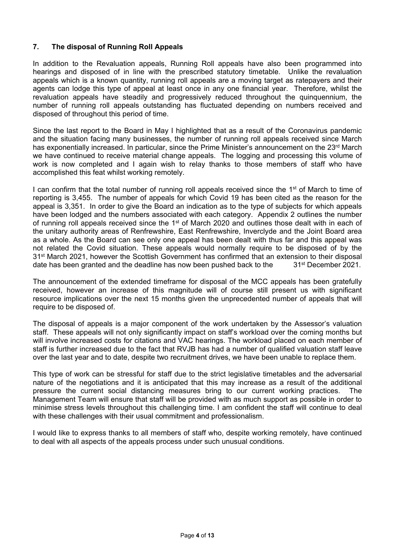#### **7. The disposal of Running Roll Appeals**

In addition to the Revaluation appeals, Running Roll appeals have also been programmed into hearings and disposed of in line with the prescribed statutory timetable. Unlike the revaluation appeals which is a known quantity, running roll appeals are a moving target as ratepayers and their agents can lodge this type of appeal at least once in any one financial year. Therefore, whilst the revaluation appeals have steadily and progressively reduced throughout the quinquennium, the number of running roll appeals outstanding has fluctuated depending on numbers received and disposed of throughout this period of time.

Since the last report to the Board in May I highlighted that as a result of the Coronavirus pandemic and the situation facing many businesses, the number of running roll appeals received since March has exponentially increased. In particular, since the Prime Minister's announcement on the 23<sup>rd</sup> March we have continued to receive material change appeals. The logging and processing this volume of work is now completed and I again wish to relay thanks to those members of staff who have accomplished this feat whilst working remotely.

I can confirm that the total number of running roll appeals received since the  $1<sup>st</sup>$  of March to time of reporting is 3,455. The number of appeals for which Covid 19 has been cited as the reason for the appeal is 3,351. In order to give the Board an indication as to the type of subjects for which appeals have been lodged and the numbers associated with each category. Appendix 2 outlines the number of running roll appeals received since the 1<sup>st</sup> of March 2020 and outlines those dealt with in each of the unitary authority areas of Renfrewshire, East Renfrewshire, Inverclyde and the Joint Board area as a whole. As the Board can see only one appeal has been dealt with thus far and this appeal was not related the Covid situation. These appeals would normally require to be disposed of by the 31<sup>st</sup> March 2021, however the Scottish Government has confirmed that an extension to their disposal date has been granted and the deadline has now been pushed back to the 31<sup>st</sup> December 2021.

The announcement of the extended timeframe for disposal of the MCC appeals has been gratefully received, however an increase of this magnitude will of course still present us with significant resource implications over the next 15 months given the unprecedented number of appeals that will require to be disposed of.

The disposal of appeals is a major component of the work undertaken by the Assessor's valuation staff. These appeals will not only significantly impact on staff's workload over the coming months but will involve increased costs for citations and VAC hearings. The workload placed on each member of staff is further increased due to the fact that RVJB has had a number of qualified valuation staff leave over the last year and to date, despite two recruitment drives, we have been unable to replace them.

This type of work can be stressful for staff due to the strict legislative timetables and the adversarial nature of the negotiations and it is anticipated that this may increase as a result of the additional pressure the current social distancing measures bring to our current working practices. The Management Team will ensure that staff will be provided with as much support as possible in order to minimise stress levels throughout this challenging time. I am confident the staff will continue to deal with these challenges with their usual commitment and professionalism.

I would like to express thanks to all members of staff who, despite working remotely, have continued to deal with all aspects of the appeals process under such unusual conditions.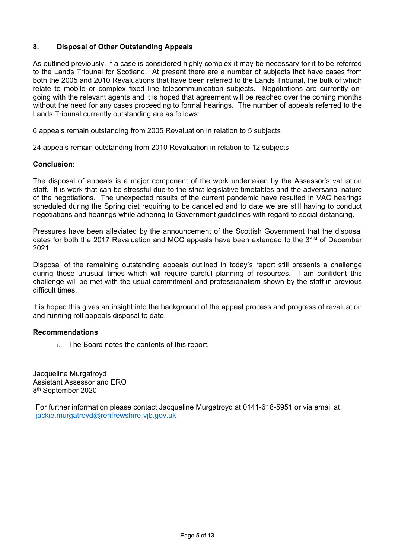#### **8. Disposal of Other Outstanding Appeals**

As outlined previously, if a case is considered highly complex it may be necessary for it to be referred to the Lands Tribunal for Scotland. At present there are a number of subjects that have cases from both the 2005 and 2010 Revaluations that have been referred to the Lands Tribunal, the bulk of which relate to mobile or complex fixed line telecommunication subjects. Negotiations are currently ongoing with the relevant agents and it is hoped that agreement will be reached over the coming months without the need for any cases proceeding to formal hearings. The number of appeals referred to the Lands Tribunal currently outstanding are as follows:

6 appeals remain outstanding from 2005 Revaluation in relation to 5 subjects

24 appeals remain outstanding from 2010 Revaluation in relation to 12 subjects

#### **Conclusion**:

The disposal of appeals is a major component of the work undertaken by the Assessor's valuation staff. It is work that can be stressful due to the strict legislative timetables and the adversarial nature of the negotiations. The unexpected results of the current pandemic have resulted in VAC hearings scheduled during the Spring diet requiring to be cancelled and to date we are still having to conduct negotiations and hearings while adhering to Government guidelines with regard to social distancing.

Pressures have been alleviated by the announcement of the Scottish Government that the disposal dates for both the 2017 Revaluation and MCC appeals have been extended to the 31<sup>st</sup> of December 2021.

Disposal of the remaining outstanding appeals outlined in today's report still presents a challenge during these unusual times which will require careful planning of resources. I am confident this challenge will be met with the usual commitment and professionalism shown by the staff in previous difficult times.

It is hoped this gives an insight into the background of the appeal process and progress of revaluation and running roll appeals disposal to date.

#### **Recommendations**

i. The Board notes the contents of this report.

Jacqueline Murgatroyd Assistant Assessor and ERO 8th September 2020

For further information please contact Jacqueline Murgatroyd at 0141-618-5951 or via email at jackie.murgatroyd@renfrewshire-vjb.gov.uk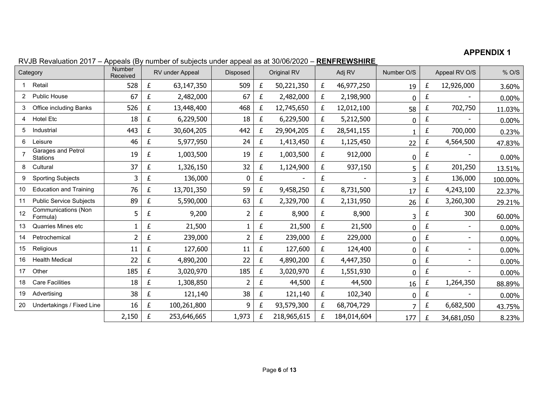#### **APPENDIX 1**

|    | Category                        | <b>Number</b><br>Received |   | RV under Appeal | Disposed |   | Original RV |   | Adj RV      | Number O/S |   | Appeal RV O/S | % O/S   |
|----|---------------------------------|---------------------------|---|-----------------|----------|---|-------------|---|-------------|------------|---|---------------|---------|
|    | Retail                          | 528                       | £ | 63,147,350      | 509      | £ | 50,221,350  | £ | 46,977,250  | 19         | £ | 12,926,000    | 3.60%   |
| 2  | Public House                    | 67                        | £ | 2,482,000       | 67       | £ | 2,482,000   | £ | 2,198,900   | 0          | £ |               | 0.00%   |
| 3  | Office including Banks          | 526                       | £ | 13,448,400      | 468      | £ | 12,745,650  | £ | 12,012,100  | 58         | £ | 702,750       | 11.03%  |
| 4  | <b>Hotel Etc</b>                | 18                        | £ | 6,229,500       | 18       | £ | 6,229,500   | £ | 5,212,500   | 0          | £ |               | 0.00%   |
| 5  | Industrial                      | 443                       | £ | 30,604,205      | 442      | £ | 29,904,205  | £ | 28,541,155  |            | £ | 700,000       | 0.23%   |
| 6  | Leisure                         | 46                        | £ | 5,977,950       | 24       | £ | 1,413,450   | £ | 1,125,450   | 22         | £ | 4,564,500     | 47.83%  |
|    | Garages and Petrol<br>Stations  | 19                        | £ | 1,003,500       | 19       | £ | 1,003,500   | £ | 912,000     | 0          | £ |               | 0.00%   |
| 8  | Cultural                        | 37                        | £ | 1,326,150       | 32       | £ | 1,124,900   | £ | 937,150     | 5          | £ | 201,250       | 13.51%  |
| 9  | <b>Sporting Subjects</b>        | 3                         | £ | 136,000         | 0        | £ |             | £ |             | 3          | £ | 136,000       | 100.00% |
| 10 | <b>Education and Training</b>   | 76                        | £ | 13,701,350      | 59       | £ | 9,458,250   | £ | 8,731,500   | 17         | £ | 4,243,100     | 22.37%  |
| 11 | <b>Public Service Subjects</b>  | 89                        | £ | 5,590,000       | 63       | £ | 2,329,700   | £ | 2,131,950   | 26         |   | 3,260,300     | 29.21%  |
| 12 | Communications (Non<br>Formula) | 5                         | £ | 9,200           | 2        | £ | 8,900       | £ | 8,900       | 3          | £ | 300           | 60.00%  |
| 13 | Quarries Mines etc              |                           | £ | 21,500          | 1        | £ | 21,500      | £ | 21,500      | 0          | £ |               | 0.00%   |
| 14 | Petrochemical                   | $\overline{2}$            | £ | 239,000         | 2        | £ | 239,000     | £ | 229,000     | 0          | £ |               | 0.00%   |
| 15 | Religious                       | 11                        | £ | 127,600         | 11       | £ | 127,600     | £ | 124,400     | 0          | £ |               | 0.00%   |
| 16 | <b>Health Medical</b>           | 22                        | £ | 4,890,200       | 22       | £ | 4,890,200   | £ | 4,447,350   | 0          | £ |               | 0.00%   |
| 17 | Other                           | 185                       | £ | 3,020,970       | 185      | £ | 3,020,970   | £ | 1,551,930   | 0          | £ |               | 0.00%   |
| 18 | <b>Care Facilities</b>          | 18                        | £ | 1,308,850       | 2        | £ | 44,500      | £ | 44,500      | 16         | £ | 1,264,350     | 88.89%  |
| 19 | Advertising                     | 38                        | £ | 121,140         | 38       | £ | 121,140     | £ | 102,340     | 0          | £ |               | 0.00%   |
| 20 | Undertakings / Fixed Line       | 16                        | £ | 100,261,800     | 9        | £ | 93,579,300  | £ | 68,704,729  | 7          | £ | 6,682,500     | 43.75%  |
|    |                                 | 2,150                     | £ | 253,646,665     | 1,973    | £ | 218,965,615 | £ | 184,014,604 | 177        | £ | 34,681,050    | 8.23%   |

RVJB Revaluation 2017 – Appeals (By number of subjects under appeal as at 30/06/2020 – **RENFREWSHIRE**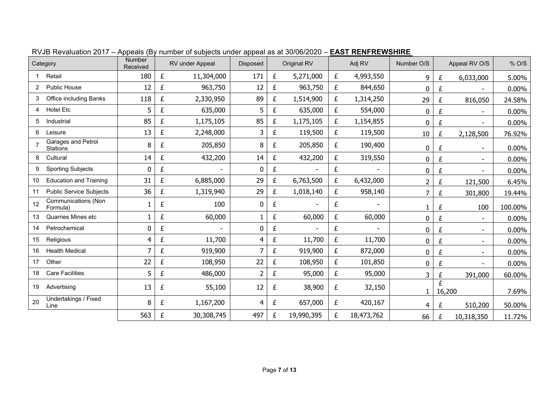| Category |                                        | <b>Number</b><br>Received |   | RV under Appeal | <b>Disposed</b> |   | Original RV | Adj RV |            | Number O/S   |             | Appeal RV O/S                | % O/S    |
|----------|----------------------------------------|---------------------------|---|-----------------|-----------------|---|-------------|--------|------------|--------------|-------------|------------------------------|----------|
|          | Retail                                 | 180                       | £ | 11,304,000      | 171             | £ | 5,271,000   | £      | 4,993,550  | 9            | £           | 6,033,000                    | 5.00%    |
| 2        | Public House                           | 12                        | £ | 963,750         | 12              | £ | 963,750     | £      | 844,650    | 0            | £           |                              | $0.00\%$ |
| 3        | <b>Office including Banks</b>          | 118                       | £ | 2,330,950       | 89              | £ | 1,514,900   | £      | 1,314,250  | 29           | £           | 816,050                      | 24.58%   |
| 4        | <b>Hotel Etc</b>                       | 5                         | £ | 635,000         | 5               | £ | 635,000     | £      | 554,000    | 0            | £           |                              | $0.00\%$ |
| 5        | Industrial                             | 85                        | £ | 1,175,105       | 85              | £ | 1,175,105   | £      | 1,154,855  | 0            | £           | $\blacksquare$               | 0.00%    |
| 6        | Leisure                                | 13                        | £ | 2,248,000       | 3               | £ | 119,500     | £      | 119,500    | $10\,$       | £           | 2,128,500                    | 76.92%   |
|          | Garages and Petrol<br>Stations         | 8                         | £ | 205,850         | 8               | £ | 205,850     | £      | 190,400    | 0            | £           |                              | $0.00\%$ |
| 8        | Cultural                               | 14                        | £ | 432,200         | 14              | £ | 432,200     | £      | 319,550    | 0            | £           | $\qquad \qquad \blacksquare$ | 0.00%    |
| 9        | <b>Sporting Subjects</b>               | 0                         | £ |                 | $\bf{0}$        | £ |             | £      |            | 0            | £           |                              | $0.00\%$ |
| 10       | <b>Education and Training</b>          | 31                        | £ | 6,885,000       | 29              | £ | 6,763,500   | £      | 6,432,000  | 2            | £           | 121,500                      | 6.45%    |
| 11       | <b>Public Service Subjects</b>         | 36                        | £ | 1,319,940       | 29              | £ | 1,018,140   | £      | 958,140    | 7            | £           | 301,800                      | 19.44%   |
| 12       | <b>Communications (Non</b><br>Formula) | 1                         | £ | 100             | $\mathbf 0$     | £ |             | £      |            | 1            | £           | 100                          | 100.00%  |
| 13       | Quarries Mines etc                     | 1                         | £ | 60,000          |                 | £ | 60,000      | £      | 60,000     | 0            | £           |                              | $0.00\%$ |
| 14       | Petrochemical                          | 0                         | £ |                 | $\mathbf 0$     | £ |             | £      |            | 0            | £           | $\blacksquare$               | $0.00\%$ |
| 15       | Religious                              | 4                         | £ | 11,700          | 4               | £ | 11,700      | £      | 11,700     | 0            | £           |                              | 0.00%    |
| 16       | <b>Health Medical</b>                  | 7                         | £ | 919,900         | 7               | £ | 919,900     | £      | 872,000    | 0            | £           |                              | $0.00\%$ |
| 17       | Other                                  | 22                        | £ | 108,950         | 22              | £ | 108,950     | £      | 101,850    | 0            | £           |                              | 0.00%    |
| 18       | <b>Care Facilities</b>                 | 5                         | £ | 486,000         | 2               | £ | 95,000      | £      | 95,000     | 3            | £           | 391,000                      | 60.00%   |
| 19       | Advertising                            | 13                        | £ | 55,100          | 12              | £ | 38,900      | £      | 32,150     | $\mathbf{1}$ | £<br>16,200 |                              | 7.69%    |
| 20       | Undertakings / Fixed<br>Line           | 8                         | £ | 1,167,200       | 4               | £ | 657,000     | £      | 420,167    | 4            | £           | 510,200                      | 50.00%   |
|          |                                        | 563                       | £ | 30,308,745      | 497             | £ | 19,990,395  | £      | 18,473,762 | 66           | £           | 10,318,350                   | 11.72%   |

RVJB Revaluation 2017 – Appeals (By number of subjects under appeal as at 30/06/2020 – **EAST RENFREWSHIRE**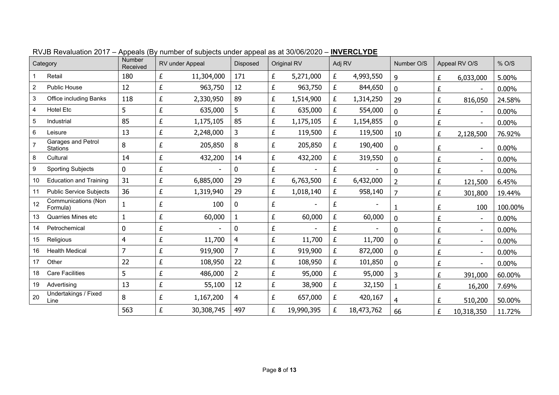|                | Category                              | Number<br>Received |   | RV under Appeal | Disposed       |   | Original RV | Adj RV |            | Number O/S     |   | Appeal RV O/S  | % O/S    |
|----------------|---------------------------------------|--------------------|---|-----------------|----------------|---|-------------|--------|------------|----------------|---|----------------|----------|
|                | Retail                                | 180                | £ | 11,304,000      | 171            | £ | 5,271,000   | £      | 4,993,550  | 9              | £ | 6,033,000      | 5.00%    |
| $\overline{2}$ | <b>Public House</b>                   | 12                 | £ | 963,750         | 12             | £ | 963,750     | £      | 844,650    | $\mathbf 0$    | £ |                | $0.00\%$ |
| 3              | Office including Banks                | 118                | £ | 2,330,950       | 89             | £ | 1,514,900   | £      | 1,314,250  | 29             | £ | 816,050        | 24.58%   |
| 4              | <b>Hotel Etc</b>                      | 5                  | £ | 635,000         | 5              | £ | 635,000     | £      | 554,000    | $\mathbf 0$    | £ |                | 0.00%    |
| 5              | Industrial                            | 85                 | £ | 1,175,105       | 85             | £ | 1,175,105   | £      | 1,154,855  | $\mathbf 0$    | £ |                | $0.00\%$ |
| 6              | Leisure                               | 13                 | £ | 2,248,000       | 3              | £ | 119,500     | £      | 119,500    | 10             | £ | 2,128,500      | 76.92%   |
|                | Garages and Petrol<br><b>Stations</b> | 8                  | £ | 205,850         | 8              | £ | 205,850     | £      | 190,400    | $\mathbf 0$    | £ | $\sim$         | $0.00\%$ |
| 8              | Cultural                              | 14                 | £ | 432,200         | 14             | £ | 432,200     | £      | 319,550    | $\mathbf 0$    | £ | $\sim$         | 0.00%    |
| 9              | <b>Sporting Subjects</b>              | 0                  | £ |                 | 0              | £ |             | £      |            | $\mathbf 0$    | £ | $\overline{a}$ | 0.00%    |
| 10             | <b>Education and Training</b>         | 31                 | £ | 6,885,000       | 29             | £ | 6,763,500   | £      | 6,432,000  | 2              | £ | 121,500        | 6.45%    |
| 11             | <b>Public Service Subjects</b>        | 36                 | £ | 1,319,940       | 29             | £ | 1,018,140   | £      | 958,140    | $\overline{7}$ | £ | 301,800        | 19.44%   |
| 12             | Communications (Non<br>Formula)       |                    | £ | 100             | 0              | £ |             | £      |            |                | £ | 100            | 100.00%  |
| 13             | <b>Quarries Mines etc</b>             |                    | £ | 60,000          | $\mathbf{1}$   | £ | 60,000      | £      | 60,000     | $\mathbf 0$    | £ | $\sim$         | 0.00%    |
| 14             | Petrochemical                         | 0                  | £ |                 | 0              | £ |             | £      |            | $\mathbf 0$    | £ |                | 0.00%    |
| 15             | Religious                             | 4                  | £ | 11,700          | 4              | £ | 11,700      | £      | 11,700     | $\mathbf 0$    | £ |                | $0.00\%$ |
| 16             | <b>Health Medical</b>                 | $\overline{7}$     | £ | 919,900         | $\overline{7}$ | £ | 919,900     | £      | 872,000    | $\mathbf 0$    | £ | $\sim$         | $0.00\%$ |
| 17             | Other                                 | 22                 | £ | 108,950         | 22             | £ | 108,950     | £      | 101,850    | $\mathbf 0$    | £ |                | 0.00%    |
| 18             | <b>Care Facilities</b>                | 5                  | £ | 486,000         | 2              | £ | 95,000      | £      | 95,000     | 3              | £ | 391,000        | 60.00%   |
| 19             | Advertising                           | 13                 | £ | 55,100          | 12             | £ | 38,900      | £      | 32,150     | 1              | £ | 16,200         | 7.69%    |
| 20             | Undertakings / Fixed<br>Line          | 8                  | £ | 1,167,200       | 4              | £ | 657,000     | £      | 420,167    | $\overline{4}$ | £ | 510,200        | 50.00%   |
|                |                                       | 563                | £ | 30,308,745      | 497            | £ | 19,990,395  | £      | 18,473,762 | 66             | £ | 10,318,350     | 11.72%   |

RVJB Revaluation 2017 – Appeals (By number of subjects under appeal as at 30/06/2020 – **INVERCLYDE**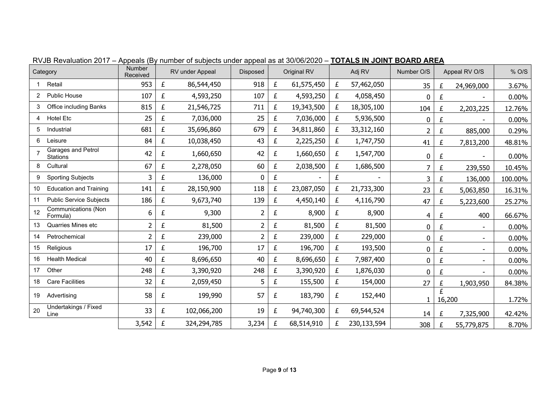| Category |                                 | Number<br>Received |   | RV under Appeal | Disposed       |   | Original RV | Adj RV                     |             | Number O/S     |             | Appeal RV O/S            | % O/S   |
|----------|---------------------------------|--------------------|---|-----------------|----------------|---|-------------|----------------------------|-------------|----------------|-------------|--------------------------|---------|
|          | Retail                          | 953                | £ | 86,544,450      | 918            | £ | 61,575,450  | £<br>57,462,050<br>35<br>£ |             | 24,969,000     | 3.67%       |                          |         |
| 2        | Public House                    | 107                | £ | 4,593,250       | 107            | £ | 4,593,250   | £                          | 4,058,450   | 0              | £           |                          | 0.00%   |
| 3        | Office including Banks          | 815                | £ | 21,546,725      | 711            | £ | 19,343,500  | £                          | 18,305,100  | 104            | £           | 2,203,225                | 12.76%  |
| 4        | <b>Hotel Etc</b>                | 25                 | £ | 7,036,000       | 25             | £ | 7,036,000   | £                          | 5,936,500   | 0              | £           |                          | 0.00%   |
| 5        | Industrial                      | 681                | £ | 35,696,860      | 679            | £ | 34,811,860  | £                          | 33,312,160  | $\overline{2}$ | £           | 885,000                  | 0.29%   |
| 6        | Leisure                         | 84                 | £ | 10,038,450      | 43             | £ | 2,225,250   | £                          | 1,747,750   | 41             | £           | 7,813,200                | 48.81%  |
|          | Garages and Petrol<br>Stations  | 42                 | £ | 1,660,650       | 42             | £ | 1,660,650   | £                          | 1,547,700   | 0              | £           |                          | 0.00%   |
| 8        | Cultural                        | 67                 | £ | 2,278,050       | 60             | £ | 2,038,500   | £                          | 1,686,500   | 7              | £           | 239,550                  | 10.45%  |
| 9        | <b>Sporting Subjects</b>        | 3                  | £ | 136,000         | 0              | £ |             | £                          |             | 3              | £           | 136,000                  | 100.00% |
| 10       | <b>Education and Training</b>   | 141                | £ | 28,150,900      | 118            | £ | 23,087,050  | £                          | 21,733,300  | 23             | £           | 5,063,850                | 16.31%  |
| 11       | <b>Public Service Subjects</b>  | 186                | £ | 9,673,740       | 139            | £ | 4,450,140   | £                          | 4,116,790   | 47             | £           | 5,223,600                | 25.27%  |
| 12       | Communications (Non<br>Formula) | 6                  | £ | 9,300           | $\overline{2}$ | £ | 8,900       | £                          | 8,900       | $\overline{4}$ | £           | 400                      | 66.67%  |
| 13       | Quarries Mines etc              | $\overline{2}$     | £ | 81,500          | $\overline{2}$ | £ | 81,500      | £                          | 81,500      | 0              | £           |                          | 0.00%   |
| 14       | Petrochemical                   | $\overline{2}$     | £ | 239,000         | $\overline{2}$ | £ | 239,000     | £                          | 229,000     | 0              | £           | $\overline{\phantom{a}}$ | 0.00%   |
| 15       | Religious                       | 17                 | £ | 196,700         | 17             | £ | 196,700     | £                          | 193,500     | 0              | £           |                          | 0.00%   |
| 16       | <b>Health Medical</b>           | 40                 | £ | 8,696,650       | 40             | £ | 8,696,650   | £                          | 7,987,400   | 0              | £           |                          | 0.00%   |
| 17       | Other                           | 248                | £ | 3,390,920       | 248            | £ | 3,390,920   | £                          | 1,876,030   | 0              | £           |                          | 0.00%   |
| 18       | <b>Care Facilities</b>          | 32                 | £ | 2,059,450       | 5              | £ | 155,500     | £                          | 154,000     | 27             | £           | 1,903,950                | 84.38%  |
| 19       | Advertising                     | 58                 | £ | 199,990         | 57             | £ | 183,790     | £                          | 152,440     | 1              | £<br>16,200 |                          | 1.72%   |
| 20       | Undertakings / Fixed<br>Line    | 33                 | £ | 102,066,200     | 19             | £ | 94,740,300  | £                          | 69,544,524  | 14             | £           | 7,325,900                | 42.42%  |
|          |                                 | 3,542              | £ | 324,294,785     | 3,234          | £ | 68,514,910  | £                          | 230,133,594 | 308            | £           | 55,779,875               | 8.70%   |

RVJB Revaluation 2017 – Appeals (By number of subjects under appeal as at 30/06/2020 – **TOTALS IN JOINT BOARD AREA**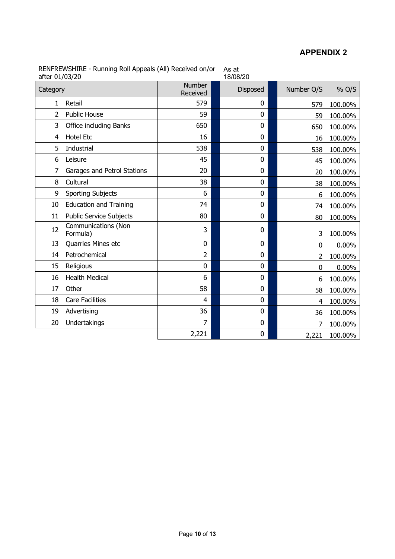### **APPENDIX 2**

| after 01/03/20 | INLINE IN THE TRAINING TWO Appears (AIT) NECERTLY ONLY OF |                    | no al<br>18/08/20 |            |         |
|----------------|-----------------------------------------------------------|--------------------|-------------------|------------|---------|
| Category       |                                                           | Number<br>Received | <b>Disposed</b>   | Number O/S | % O/S   |
| 1              | Retail                                                    | 579                | 0                 | 579        | 100.00% |
| $\overline{2}$ | <b>Public House</b>                                       | 59                 | 0                 | 59         | 100.00% |
| 3              | Office including Banks                                    | 650                | 0                 | 650        | 100.00% |
| 4              | <b>Hotel Etc</b>                                          | 16                 | 0                 | 16         | 100.00% |
| 5              | Industrial                                                | 538                | 0                 | 538        | 100.00% |
| 6              | Leisure                                                   | 45                 | 0                 | 45         | 100.00% |
| 7              | Garages and Petrol Stations                               | 20                 | $\mathbf 0$       | 20         | 100.00% |
| 8              | Cultural                                                  | 38                 | 0                 | 38         | 100.00% |
| 9              | <b>Sporting Subjects</b>                                  | 6                  | 0                 | 6          | 100.00% |
| 10             | <b>Education and Training</b>                             | 74                 | 0                 | 74         | 100.00% |
| 11             | <b>Public Service Subjects</b>                            | 80                 | 0                 | 80         | 100.00% |
| 12             | <b>Communications (Non</b><br>Formula)                    | 3                  | 0                 | 3          | 100.00% |
| 13             | Quarries Mines etc                                        | 0                  | 0                 | 0          | 0.00%   |
| 14             | Petrochemical                                             | 2                  | 0                 | 2          | 100.00% |
| 15             | Religious                                                 | 0                  | 0                 | 0          | 0.00%   |
| 16             | <b>Health Medical</b>                                     | 6                  | 0                 | 6          | 100.00% |
| 17             | Other                                                     | 58                 | 0                 | 58         | 100.00% |
| 18             | <b>Care Facilities</b>                                    | 4                  | 0                 | 4          | 100.00% |
| 19             | Advertising                                               | 36                 | 0                 | 36         | 100.00% |
| 20             | Undertakings                                              | $\overline{7}$     | $\pmb{0}$         | 7          | 100.00% |
|                |                                                           | 2,221              | 0                 | 2,221      | 100.00% |

RENFREWSHIRE - Running Roll Appeals (All) Received on/or As at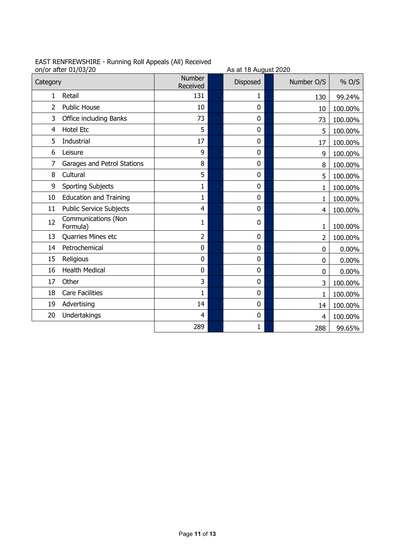|                | on/or after 01/03/20            |                    | As at 18 August 2020 |                |         |
|----------------|---------------------------------|--------------------|----------------------|----------------|---------|
| Category       |                                 | Number<br>Received | <b>Disposed</b>      | Number O/S     | % O/S   |
| 1              | Retail                          | 131                | 1                    | 130            | 99.24%  |
| $\overline{2}$ | <b>Public House</b>             | 10                 | 0                    | 10             | 100.00% |
| 3              | Office including Banks          | 73                 | 0                    | 73             | 100.00% |
| 4              | <b>Hotel Etc</b>                | 5                  | 0                    | 5              | 100.00% |
| 5              | Industrial                      | 17                 | 0                    | 17             | 100.00% |
| 6              | Leisure                         | 9                  | 0                    | 9              | 100.00% |
| 7              | Garages and Petrol Stations     | 8                  | 0                    | 8              | 100.00% |
| 8              | Cultural                        | 5                  | 0                    | 5              | 100.00% |
| 9              | <b>Sporting Subjects</b>        | $\mathbf{1}$       | 0                    | 1              | 100.00% |
| 10             | <b>Education and Training</b>   | 1                  | 0                    | 1              | 100.00% |
| 11             | <b>Public Service Subjects</b>  | $\overline{4}$     | 0                    | 4              | 100.00% |
| 12             | Communications (Non<br>Formula) | $\mathbf{1}$       | 0                    | 1              | 100.00% |
| 13             | Quarries Mines etc              | $\overline{2}$     | 0                    | $\overline{2}$ | 100.00% |
| 14             | Petrochemical                   | $\pmb{0}$          | 0                    | 0              | 0.00%   |
| 15             | Religious                       | 0                  | 0                    | 0              | 0.00%   |
| 16             | <b>Health Medical</b>           | 0                  | 0                    | 0              | 0.00%   |
| 17             | Other                           | 3                  | 0                    | 3              | 100.00% |
| 18             | <b>Care Facilities</b>          | $\mathbf{1}$       | 0                    | 1              | 100.00% |
| 19             | Advertising                     | 14                 | 0                    | 14             | 100.00% |
| 20             | Undertakings                    | 4                  | 0                    | 4              | 100.00% |
|                |                                 | 289                | $\mathbf{1}$         | 288            | 99.65%  |

## EAST RENFREWSHIRE - Running Roll Appeals (All) Received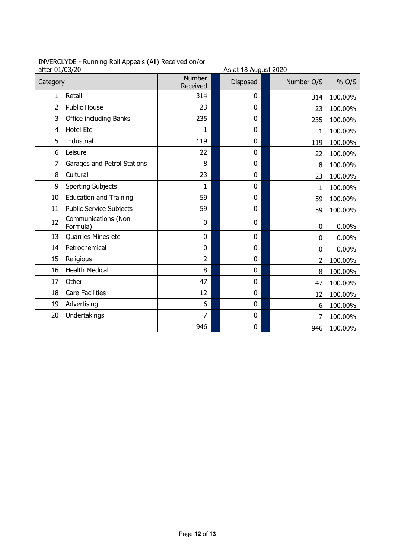| INVERCLYDE - Running Roll Appeals (All) Received on/or |  |  |  |
|--------------------------------------------------------|--|--|--|
| - <del>ft</del> or 01/02/20                            |  |  |  |

| after 01/03/20 | INVERCETDE - Ruhling Rull Appeals (All) Received Union |                    | As at 18 August 2020 |            |          |
|----------------|--------------------------------------------------------|--------------------|----------------------|------------|----------|
| Category       |                                                        | Number<br>Received | Disposed             | Number O/S | % O/S    |
| 1              | Retail                                                 | 314                | 0                    | 314        | 100.00%  |
| $\overline{2}$ | <b>Public House</b>                                    | 23                 | $\mathbf 0$          | 23         | 100.00%  |
| 3              | Office including Banks                                 | 235                | 0                    | 235        | 100.00%  |
| 4              | <b>Hotel Etc</b>                                       | 1                  | 0                    | 1          | 100.00%  |
| 5              | Industrial                                             | 119                | $\mathbf 0$          | 119        | 100.00%  |
| 6              | Leisure                                                | 22                 | $\mathbf 0$          | 22         | 100.00%  |
| 7              | Garages and Petrol Stations                            | 8                  | $\mathbf 0$          | 8          | 100.00%  |
| 8              | Cultural                                               | 23                 | $\mathbf 0$          | 23         | 100.00%  |
| 9              | <b>Sporting Subjects</b>                               | 1                  | $\mathbf 0$          | 1          | 100.00%  |
| 10             | <b>Education and Training</b>                          | 59                 | $\mathbf 0$          | 59         | 100.00%  |
| 11             | Public Service Subjects                                | 59                 | 0                    | 59         | 100.00%  |
| 12             | Communications (Non<br>Formula)                        | 0                  | 0                    | $\Omega$   | $0.00\%$ |
| 13             | Quarries Mines etc                                     | 0                  | 0                    | 0          | 0.00%    |
| 14             | Petrochemical                                          | 0                  | $\bf{0}$             | 0          | 0.00%    |
| 15             | Religious                                              | $\overline{2}$     | $\mathbf 0$          | 2          | 100.00%  |
| 16             | <b>Health Medical</b>                                  | 8                  | $\mathbf 0$          | 8          | 100.00%  |
| 17             | Other                                                  | 47                 | 0                    | 47         | 100.00%  |
| 18             | <b>Care Facilities</b>                                 | 12                 | $\mathbf 0$          | 12         | 100.00%  |
| 19             | Advertising                                            | 6                  | $\mathbf 0$          | 6          | 100.00%  |
| 20             | Undertakings                                           | $\overline{7}$     | $\mathbf 0$          | 7          | 100.00%  |
|                |                                                        | 946                | 0                    | 946        | 100.00%  |